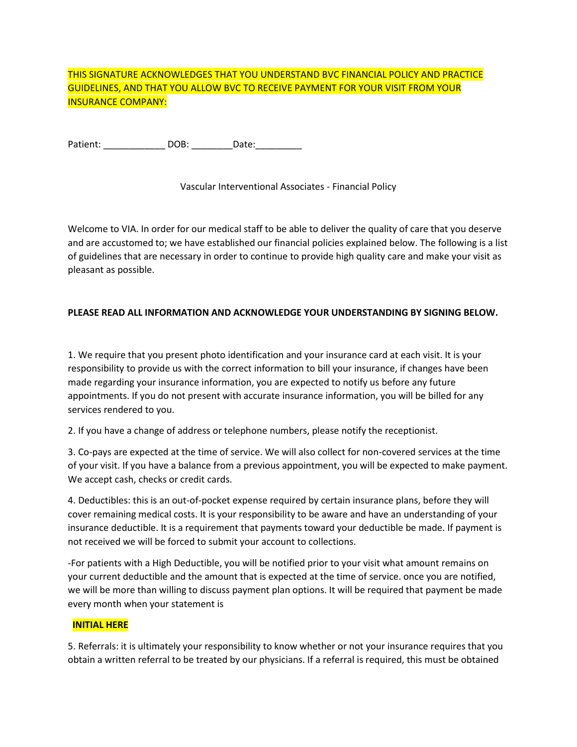# THIS SIGNATURE ACKNOWLEDGES THAT YOU UNDERSTAND BVC FINANCIAL POLICY AND PRACTICE GUIDELINES, AND THAT YOU ALLOW BVC TO RECEIVE PAYMENT FOR YOUR VISIT FROM YOUR INSURANCE COMPANY:

Patient: \_\_\_\_\_\_\_\_\_\_\_\_ DOB: \_\_\_\_\_\_\_\_Date:\_\_\_\_\_\_\_\_\_

Vascular Interventional Associates - Financial Policy

Welcome to VIA. In order for our medical staff to be able to deliver the quality of care that you deserve and are accustomed to; we have established our financial policies explained below. The following is a list of guidelines that are necessary in order to continue to provide high quality care and make your visit as pleasant as possible.

### **PLEASE READ ALL INFORMATION AND ACKNOWLEDGE YOUR UNDERSTANDING BY SIGNING BELOW.**

1. We require that you present photo identification and your insurance card at each visit. It is your responsibility to provide us with the correct information to bill your insurance, if changes have been made regarding your insurance information, you are expected to notify us before any future appointments. If you do not present with accurate insurance information, you will be billed for any services rendered to you.

2. If you have a change of address or telephone numbers, please notify the receptionist.

3. Co-pays are expected at the time of service. We will also collect for non-covered services at the time of your visit. If you have a balance from a previous appointment, you will be expected to make payment. We accept cash, checks or credit cards.

4. Deductibles: this is an out-of-pocket expense required by certain insurance plans, before they will cover remaining medical costs. It is your responsibility to be aware and have an understanding of your insurance deductible. It is a requirement that payments toward your deductible be made. If payment is not received we will be forced to submit your account to collections.

-For patients with a High Deductible, you will be notified prior to your visit what amount remains on your current deductible and the amount that is expected at the time of service. once you are notified, we will be more than willing to discuss payment plan options. It will be required that payment be made every month when your statement is

### **INITIAL HERE**

5. Referrals: it is ultimately your responsibility to know whether or not your insurance requires that you obtain a written referral to be treated by our physicians. If a referral is required, this must be obtained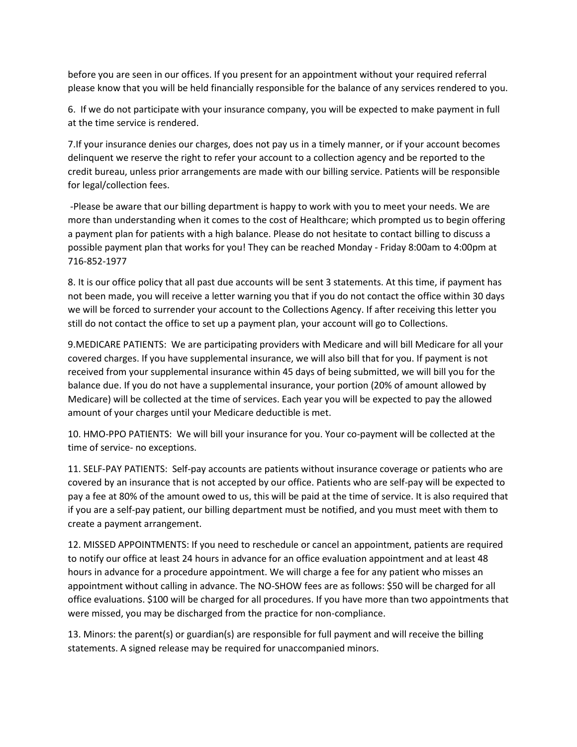before you are seen in our offices. If you present for an appointment without your required referral please know that you will be held financially responsible for the balance of any services rendered to you.

6. If we do not participate with your insurance company, you will be expected to make payment in full at the time service is rendered.

7.If your insurance denies our charges, does not pay us in a timely manner, or if your account becomes delinquent we reserve the right to refer your account to a collection agency and be reported to the credit bureau, unless prior arrangements are made with our billing service. Patients will be responsible for legal/collection fees.

-Please be aware that our billing department is happy to work with you to meet your needs. We are more than understanding when it comes to the cost of Healthcare; which prompted us to begin offering a payment plan for patients with a high balance. Please do not hesitate to contact billing to discuss a possible payment plan that works for you! They can be reached Monday - Friday 8:00am to 4:00pm at 716-852-1977

8. It is our office policy that all past due accounts will be sent 3 statements. At this time, if payment has not been made, you will receive a letter warning you that if you do not contact the office within 30 days we will be forced to surrender your account to the Collections Agency. If after receiving this letter you still do not contact the office to set up a payment plan, your account will go to Collections.

9.MEDICARE PATIENTS: We are participating providers with Medicare and will bill Medicare for all your covered charges. If you have supplemental insurance, we will also bill that for you. If payment is not received from your supplemental insurance within 45 days of being submitted, we will bill you for the balance due. If you do not have a supplemental insurance, your portion (20% of amount allowed by Medicare) will be collected at the time of services. Each year you will be expected to pay the allowed amount of your charges until your Medicare deductible is met.

10. HMO-PPO PATIENTS: We will bill your insurance for you. Your co-payment will be collected at the time of service- no exceptions.

11. SELF-PAY PATIENTS: Self-pay accounts are patients without insurance coverage or patients who are covered by an insurance that is not accepted by our office. Patients who are self-pay will be expected to pay a fee at 80% of the amount owed to us, this will be paid at the time of service. It is also required that if you are a self-pay patient, our billing department must be notified, and you must meet with them to create a payment arrangement.

12. MISSED APPOINTMENTS: If you need to reschedule or cancel an appointment, patients are required to notify our office at least 24 hours in advance for an office evaluation appointment and at least 48 hours in advance for a procedure appointment. We will charge a fee for any patient who misses an appointment without calling in advance. The NO-SHOW fees are as follows: \$50 will be charged for all office evaluations. \$100 will be charged for all procedures. If you have more than two appointments that were missed, you may be discharged from the practice for non-compliance.

13. Minors: the parent(s) or guardian(s) are responsible for full payment and will receive the billing statements. A signed release may be required for unaccompanied minors.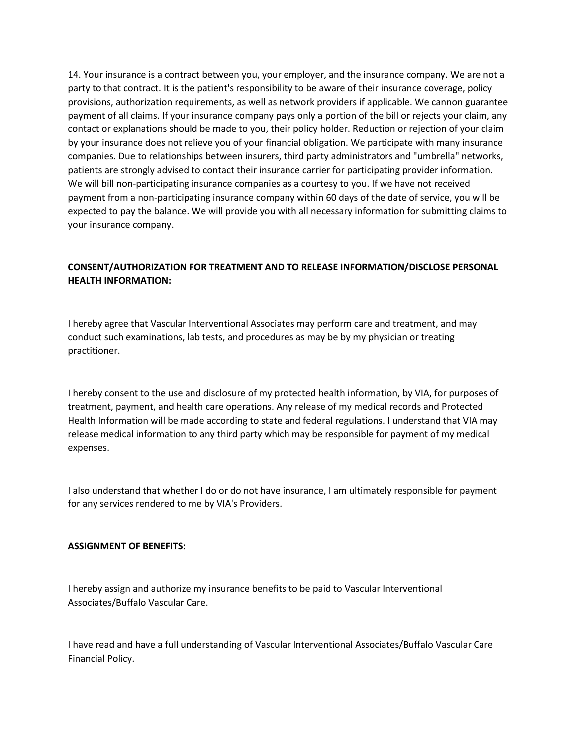14. Your insurance is a contract between you, your employer, and the insurance company. We are not a party to that contract. It is the patient's responsibility to be aware of their insurance coverage, policy provisions, authorization requirements, as well as network providers if applicable. We cannon guarantee payment of all claims. If your insurance company pays only a portion of the bill or rejects your claim, any contact or explanations should be made to you, their policy holder. Reduction or rejection of your claim by your insurance does not relieve you of your financial obligation. We participate with many insurance companies. Due to relationships between insurers, third party administrators and "umbrella" networks, patients are strongly advised to contact their insurance carrier for participating provider information. We will bill non-participating insurance companies as a courtesy to you. If we have not received payment from a non-participating insurance company within 60 days of the date of service, you will be expected to pay the balance. We will provide you with all necessary information for submitting claims to your insurance company.

## **CONSENT/AUTHORIZATION FOR TREATMENT AND TO RELEASE INFORMATION/DISCLOSE PERSONAL HEALTH INFORMATION:**

I hereby agree that Vascular Interventional Associates may perform care and treatment, and may conduct such examinations, lab tests, and procedures as may be by my physician or treating practitioner.

I hereby consent to the use and disclosure of my protected health information, by VIA, for purposes of treatment, payment, and health care operations. Any release of my medical records and Protected Health Information will be made according to state and federal regulations. I understand that VIA may release medical information to any third party which may be responsible for payment of my medical expenses.

I also understand that whether I do or do not have insurance, I am ultimately responsible for payment for any services rendered to me by VIA's Providers.

### **ASSIGNMENT OF BENEFITS:**

I hereby assign and authorize my insurance benefits to be paid to Vascular Interventional Associates/Buffalo Vascular Care.

I have read and have a full understanding of Vascular Interventional Associates/Buffalo Vascular Care Financial Policy.